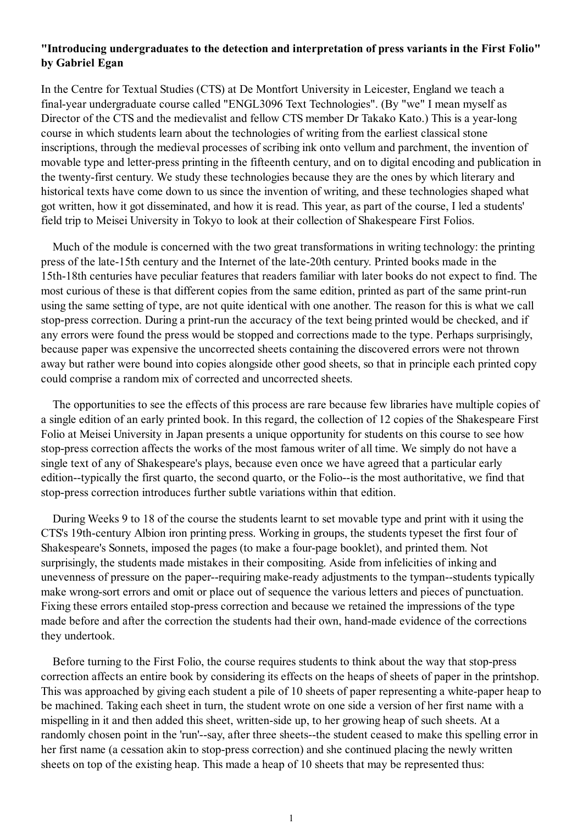## **"Introducing undergraduates to the detection and interpretation of press variants in the First Folio" by Gabriel Egan**

In the Centre for Textual Studies (CTS) at De Montfort University in Leicester, England we teach a final-year undergraduate course called "ENGL3096 Text Technologies". (By "we" I mean myself as Director of the CTS and the medievalist and fellow CTS member Dr Takako Kato.) This is a year-long course in which students learn about the technologies of writing from the earliest classical stone inscriptions, through the medieval processes of scribing ink onto vellum and parchment, the invention of movable type and letter-press printing in the fifteenth century, and on to digital encoding and publication in the twenty-first century. We study these technologies because they are the ones by which literary and historical texts have come down to us since the invention of writing, and these technologies shaped what got written, how it got disseminated, and how it is read. This year, as part of the course, I led a students' field trip to Meisei University in Tokyo to look at their collection of Shakespeare First Folios.

 Much of the module is concerned with the two great transformations in writing technology: the printing press of the late-15th century and the Internet of the late-20th century. Printed books made in the 15th-18th centuries have peculiar features that readers familiar with later books do not expect to find. The most curious of these is that different copies from the same edition, printed as part of the same print-run using the same setting of type, are not quite identical with one another. The reason for this is what we call stop-press correction. During a print-run the accuracy of the text being printed would be checked, and if any errors were found the press would be stopped and corrections made to the type. Perhaps surprisingly, because paper was expensive the uncorrected sheets containing the discovered errors were not thrown away but rather were bound into copies alongside other good sheets, so that in principle each printed copy could comprise a random mix of corrected and uncorrected sheets.

 The opportunities to see the effects of this process are rare because few libraries have multiple copies of a single edition of an early printed book. In this regard, the collection of 12 copies of the Shakespeare First Folio at Meisei University in Japan presents a unique opportunity for students on this course to see how stop-press correction affects the works of the most famous writer of all time. We simply do not have a single text of any of Shakespeare's plays, because even once we have agreed that a particular early edition--typically the first quarto, the second quarto, or the Folio--is the most authoritative, we find that stop-press correction introduces further subtle variations within that edition.

 During Weeks 9 to 18 of the course the students learnt to set movable type and print with it using the CTS's 19th-century Albion iron printing press. Working in groups, the students typeset the first four of Shakespeare's Sonnets, imposed the pages (to make a four-page booklet), and printed them. Not surprisingly, the students made mistakes in their compositing. Aside from infelicities of inking and unevenness of pressure on the paper--requiring make-ready adjustments to the tympan--students typically make wrong-sort errors and omit or place out of sequence the various letters and pieces of punctuation. Fixing these errors entailed stop-press correction and because we retained the impressions of the type made before and after the correction the students had their own, hand-made evidence of the corrections they undertook.

 Before turning to the First Folio, the course requires students to think about the way that stop-press correction affects an entire book by considering its effects on the heaps of sheets of paper in the printshop. This was approached by giving each student a pile of 10 sheets of paper representing a white-paper heap to be machined. Taking each sheet in turn, the student wrote on one side a version of her first name with a mispelling in it and then added this sheet, written-side up, to her growing heap of such sheets. At a randomly chosen point in the 'run'--say, after three sheets--the student ceased to make this spelling error in her first name (a cessation akin to stop-press correction) and she continued placing the newly written sheets on top of the existing heap. This made a heap of 10 sheets that may be represented thus: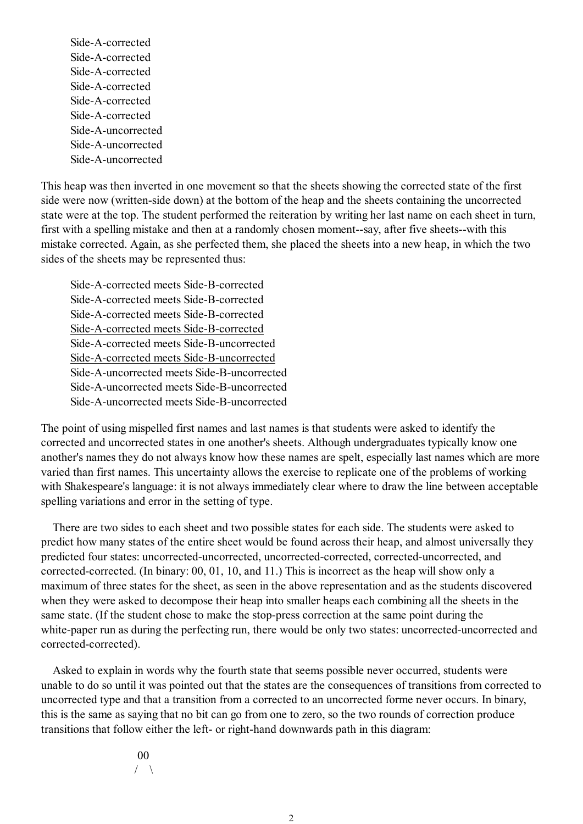Side-A-corrected Side-A-corrected Side-A-corrected Side-A-corrected Side-A-corrected Side-A-corrected Side-A-uncorrected Side-A-uncorrected Side-A-uncorrected

This heap was then inverted in one movement so that the sheets showing the corrected state of the first side were now (written-side down) at the bottom of the heap and the sheets containing the uncorrected state were at the top. The student performed the reiteration by writing her last name on each sheet in turn, first with a spelling mistake and then at a randomly chosen moment--say, after five sheets--with this mistake corrected. Again, as she perfected them, she placed the sheets into a new heap, in which the two sides of the sheets may be represented thus:

Side-A-corrected meets Side-B-corrected Side-A-corrected meets Side-B-corrected Side-A-corrected meets Side-B-corrected Side-A-corrected meets Side-B-corrected Side-A-corrected meets Side-B-uncorrected Side-A-corrected meets Side-B-uncorrected Side-A-uncorrected meets Side-B-uncorrected Side-A-uncorrected meets Side-B-uncorrected Side-A-uncorrected meets Side-B-uncorrected

The point of using mispelled first names and last names is that students were asked to identify the corrected and uncorrected states in one another's sheets. Although undergraduates typically know one another's names they do not always know how these names are spelt, especially last names which are more varied than first names. This uncertainty allows the exercise to replicate one of the problems of working with Shakespeare's language: it is not always immediately clear where to draw the line between acceptable spelling variations and error in the setting of type.

 There are two sides to each sheet and two possible states for each side. The students were asked to predict how many states of the entire sheet would be found across their heap, and almost universally they predicted four states: uncorrected-uncorrected, uncorrected-corrected, corrected-uncorrected, and corrected-corrected. (In binary: 00, 01, 10, and 11.) This is incorrect as the heap will show only a maximum of three states for the sheet, as seen in the above representation and as the students discovered when they were asked to decompose their heap into smaller heaps each combining all the sheets in the same state. (If the student chose to make the stop-press correction at the same point during the white-paper run as during the perfecting run, there would be only two states: uncorrected-uncorrected and corrected-corrected).

 Asked to explain in words why the fourth state that seems possible never occurred, students were unable to do so until it was pointed out that the states are the consequences of transitions from corrected to uncorrected type and that a transition from a corrected to an uncorrected forme never occurs. In binary, this is the same as saying that no bit can go from one to zero, so the two rounds of correction produce transitions that follow either the left- or right-hand downwards path in this diagram:

## 00

/  $\setminus$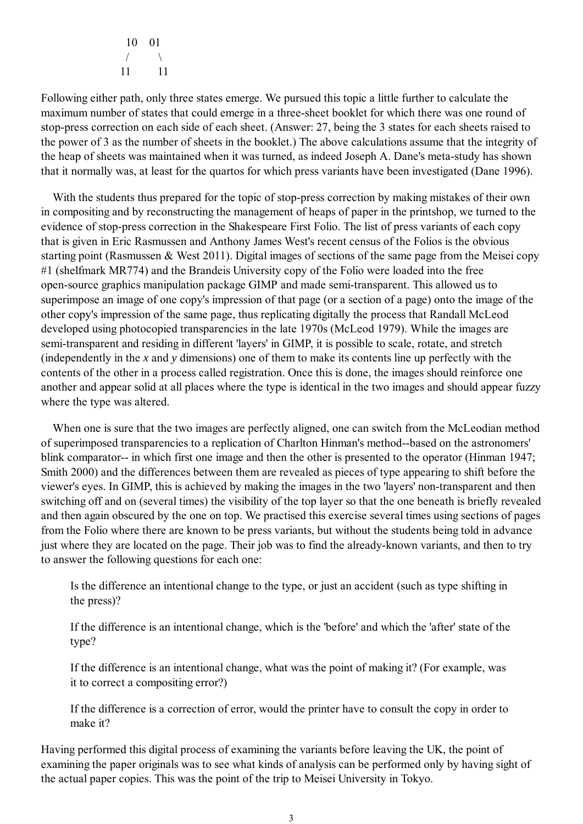10 01  $\sqrt{2}$ 11 11

Following either path, only three states emerge. We pursued this topic a little further to calculate the maximum number of states that could emerge in a three-sheet booklet for which there was one round of stop-press correction on each side of each sheet. (Answer: 27, being the 3 states for each sheets raised to the power of 3 as the number of sheets in the booklet.) The above calculations assume that the integrity of the heap of sheets was maintained when it was turned, as indeed Joseph A. Dane's meta-study has shown that it normally was, at least for the quartos for which press variants have been investigated (Dane 1996).

 With the students thus prepared for the topic of stop-press correction by making mistakes of their own in compositing and by reconstructing the management of heaps of paper in the printshop, we turned to the evidence of stop-press correction in the Shakespeare First Folio. The list of press variants of each copy that is given in Eric Rasmussen and Anthony James West's recent census of the Folios is the obvious starting point (Rasmussen & West 2011). Digital images of sections of the same page from the Meisei copy #1 (shelfmark MR774) and the Brandeis University copy of the Folio were loaded into the free open-source graphics manipulation package GIMP and made semi-transparent. This allowed us to superimpose an image of one copy's impression of that page (or a section of a page) onto the image of the other copy's impression of the same page, thus replicating digitally the process that Randall McLeod developed using photocopied transparencies in the late 1970s (McLeod 1979). While the images are semi-transparent and residing in different 'layers' in GIMP, it is possible to scale, rotate, and stretch (independently in the *x* and *y* dimensions) one of them to make its contents line up perfectly with the contents of the other in a process called registration. Once this is done, the images should reinforce one another and appear solid at all places where the type is identical in the two images and should appear fuzzy where the type was altered.

 When one is sure that the two images are perfectly aligned, one can switch from the McLeodian method of superimposed transparencies to a replication of Charlton Hinman's method--based on the astronomers' blink comparator-- in which first one image and then the other is presented to the operator (Hinman 1947; Smith 2000) and the differences between them are revealed as pieces of type appearing to shift before the viewer's eyes. In GIMP, this is achieved by making the images in the two 'layers' non-transparent and then switching off and on (several times) the visibility of the top layer so that the one beneath is briefly revealed and then again obscured by the one on top. We practised this exercise several times using sections of pages from the Folio where there are known to be press variants, but without the students being told in advance just where they are located on the page. Their job was to find the already-known variants, and then to try to answer the following questions for each one:

Is the difference an intentional change to the type, or just an accident (such as type shifting in the press)?

If the difference is an intentional change, which is the 'before' and which the 'after' state of the type?

If the difference is an intentional change, what was the point of making it? (For example, was it to correct a compositing error?)

If the difference is a correction of error, would the printer have to consult the copy in order to make it?

Having performed this digital process of examining the variants before leaving the UK, the point of examining the paper originals was to see what kinds of analysis can be performed only by having sight of the actual paper copies. This was the point of the trip to Meisei University in Tokyo.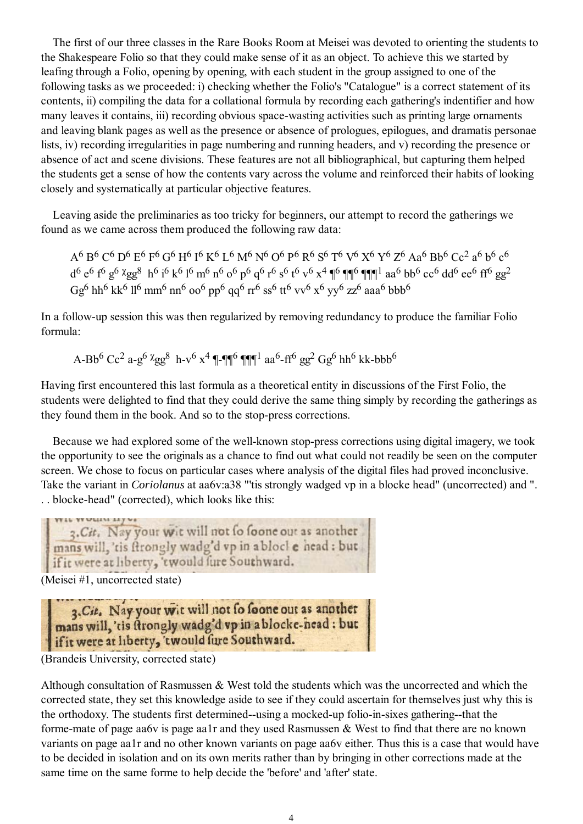The first of our three classes in the Rare Books Room at Meisei was devoted to orienting the students to the Shakespeare Folio so that they could make sense of it as an object. To achieve this we started by leafing through a Folio, opening by opening, with each student in the group assigned to one of the following tasks as we proceeded: i) checking whether the Folio's "Catalogue" is a correct statement of its contents, ii) compiling the data for a collational formula by recording each gathering's indentifier and how many leaves it contains, iii) recording obvious space-wasting activities such as printing large ornaments and leaving blank pages as well as the presence or absence of prologues, epilogues, and dramatis personae lists, iv) recording irregularities in page numbering and running headers, and v) recording the presence or absence of act and scene divisions. These features are not all bibliographical, but capturing them helped the students get a sense of how the contents vary across the volume and reinforced their habits of looking closely and systematically at particular objective features.

 Leaving aside the preliminaries as too tricky for beginners, our attempt to record the gatherings we found as we came across them produced the following raw data:

A6 B6 C6 D6 E6 F6 G6 H6 I6 K6 L6 M6 N6 O6 P6 R6 S6 T6 V6 X6 Y6 Z6 Aa6 Bb6 Cc2 a6 b6 c6  $d^6 e^6 f^6 g^6 \chi_{gg}^8 h^6 i^6 k^6 l^6 m^6 n^6 o^6 p^6 q^6 r^6 s^6 t^6 v^6 x^4 \eta^6 \eta \eta^6 \eta \eta^1$  aa<sup>6</sup> bb<sup>6</sup> cc<sup>6</sup> dd<sup>6</sup> ee<sup>6</sup> ff<sup>6</sup> gg<sup>2</sup> Gg<sup>6</sup> hh<sup>6</sup> kk<sup>6</sup> ll<sup>6</sup> mm<sup>6</sup> nn<sup>6</sup> oo<sup>6</sup> pp<sup>6</sup> qq<sup>6</sup> rr<sup>6</sup> ss<sup>6</sup> tt<sup>6</sup> vv<sup>6</sup> x<sup>6</sup> yv<sup>6</sup> zz<sup>6</sup> aaa<sup>6</sup> bbb<sup>6</sup>

In a follow-up session this was then regularized by removing redundancy to produce the familiar Folio formula:

A-Bb<sup>6</sup> Cc<sup>2</sup> a-g<sup>6</sup>  $\chi$ gg<sup>8</sup> h-v<sup>6</sup> x<sup>4</sup> ¶-¶¶<sup>6</sup> ¶¶¶<sup>1</sup> aa<sup>6</sup>-ff<sup>6</sup> gg<sup>2</sup> Gg<sup>6</sup> hh<sup>6</sup> kk-bbb<sup>6</sup>

Having first encountered this last formula as a theoretical entity in discussions of the First Folio, the students were delighted to find that they could derive the same thing simply by recording the gatherings as they found them in the book. And so to the stop-press corrections.

 Because we had explored some of the well-known stop-press corrections using digital imagery, we took the opportunity to see the originals as a chance to find out what could not readily be seen on the computer screen. We chose to focus on particular cases where analysis of the digital files had proved inconclusive. Take the variant in *Coriolanus* at aa6v:a38 "'tis strongly wadged vp in a blocke head" (uncorrected) and ". . . blocke-head" (corrected), which looks like this:

3. Cit. Nay your wit will not fo foone out as another mans will, 'tis ftrongly wadg'd vp in a blocl e head: but if it were at liberty, 'twould fure Southward. (Meisei #1, uncorrected state)

3. Cit. Nay your wit will not fo foone out as another mans will, 'tis ftrongly wadg'd vp in a blocke-head : but if it were at liberty, 'twould fure Southward.

(Brandeis University, corrected state)

Although consultation of Rasmussen & West told the students which was the uncorrected and which the corrected state, they set this knowledge aside to see if they could ascertain for themselves just why this is the orthodoxy. The students first determined--using a mocked-up folio-in-sixes gathering--that the forme-mate of page aa6v is page aa1r and they used Rasmussen & West to find that there are no known variants on page aa1r and no other known variants on page aa6v either. Thus this is a case that would have to be decided in isolation and on its own merits rather than by bringing in other corrections made at the same time on the same forme to help decide the 'before' and 'after' state.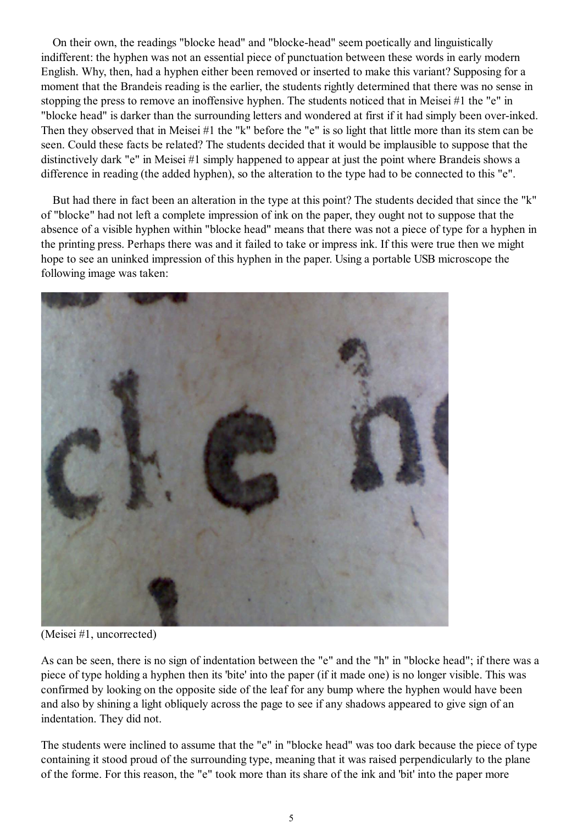On their own, the readings "blocke head" and "blocke-head" seem poetically and linguistically indifferent: the hyphen was not an essential piece of punctuation between these words in early modern English. Why, then, had a hyphen either been removed or inserted to make this variant? Supposing for a moment that the Brandeis reading is the earlier, the students rightly determined that there was no sense in stopping the press to remove an inoffensive hyphen. The students noticed that in Meisei #1 the "e" in "blocke head" is darker than the surrounding letters and wondered at first if it had simply been over-inked. Then they observed that in Meisei #1 the "k" before the "e" is so light that little more than its stem can be seen. Could these facts be related? The students decided that it would be implausible to suppose that the distinctively dark "e" in Meisei #1 simply happened to appear at just the point where Brandeis shows a difference in reading (the added hyphen), so the alteration to the type had to be connected to this "e".

 But had there in fact been an alteration in the type at this point? The students decided that since the "k" of "blocke" had not left a complete impression of ink on the paper, they ought not to suppose that the absence of a visible hyphen within "blocke head" means that there was not a piece of type for a hyphen in the printing press. Perhaps there was and it failed to take or impress ink. If this were true then we might hope to see an uninked impression of this hyphen in the paper. Using a portable USB microscope the following image was taken:



(Meisei #1, uncorrected)

As can be seen, there is no sign of indentation between the "e" and the "h" in "blocke head"; if there was a piece of type holding a hyphen then its 'bite' into the paper (if it made one) is no longer visible. This was confirmed by looking on the opposite side of the leaf for any bump where the hyphen would have been and also by shining a light obliquely across the page to see if any shadows appeared to give sign of an indentation. They did not.

The students were inclined to assume that the "e" in "blocke head" was too dark because the piece of type containing it stood proud of the surrounding type, meaning that it was raised perpendicularly to the plane of the forme. For this reason, the "e" took more than its share of the ink and 'bit' into the paper more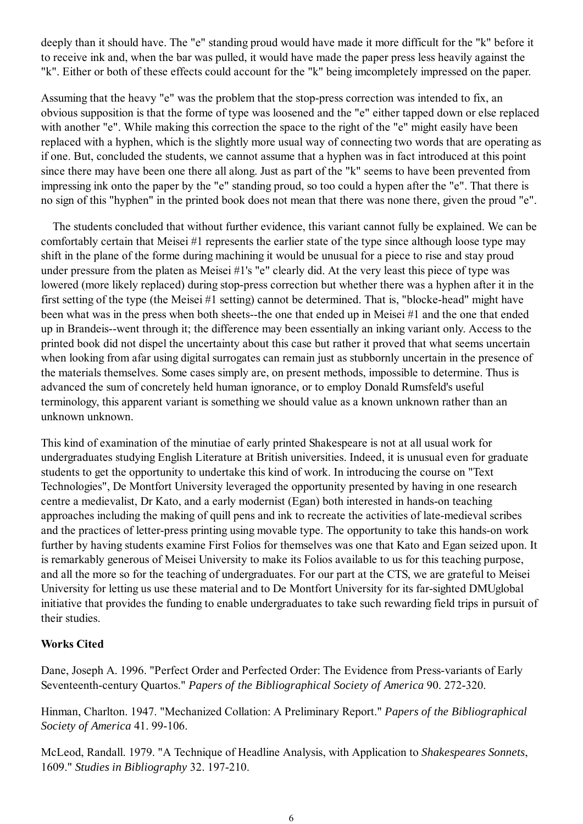deeply than it should have. The "e" standing proud would have made it more difficult for the "k" before it to receive ink and, when the bar was pulled, it would have made the paper press less heavily against the "k". Either or both of these effects could account for the "k" being imcompletely impressed on the paper.

Assuming that the heavy "e" was the problem that the stop-press correction was intended to fix, an obvious supposition is that the forme of type was loosened and the "e" either tapped down or else replaced with another "e". While making this correction the space to the right of the "e" might easily have been replaced with a hyphen, which is the slightly more usual way of connecting two words that are operating as if one. But, concluded the students, we cannot assume that a hyphen was in fact introduced at this point since there may have been one there all along. Just as part of the "k" seems to have been prevented from impressing ink onto the paper by the "e" standing proud, so too could a hypen after the "e". That there is no sign of this "hyphen" in the printed book does not mean that there was none there, given the proud "e".

 The students concluded that without further evidence, this variant cannot fully be explained. We can be comfortably certain that Meisei #1 represents the earlier state of the type since although loose type may shift in the plane of the forme during machining it would be unusual for a piece to rise and stay proud under pressure from the platen as Meisei #1's "e" clearly did. At the very least this piece of type was lowered (more likely replaced) during stop-press correction but whether there was a hyphen after it in the first setting of the type (the Meisei #1 setting) cannot be determined. That is, "blocke-head" might have been what was in the press when both sheets--the one that ended up in Meisei #1 and the one that ended up in Brandeis--went through it; the difference may been essentially an inking variant only. Access to the printed book did not dispel the uncertainty about this case but rather it proved that what seems uncertain when looking from afar using digital surrogates can remain just as stubbornly uncertain in the presence of the materials themselves. Some cases simply are, on present methods, impossible to determine. Thus is advanced the sum of concretely held human ignorance, or to employ Donald Rumsfeld's useful terminology, this apparent variant is something we should value as a known unknown rather than an unknown unknown.

This kind of examination of the minutiae of early printed Shakespeare is not at all usual work for undergraduates studying English Literature at British universities. Indeed, it is unusual even for graduate students to get the opportunity to undertake this kind of work. In introducing the course on "Text Technologies", De Montfort University leveraged the opportunity presented by having in one research centre a medievalist, Dr Kato, and a early modernist (Egan) both interested in hands-on teaching approaches including the making of quill pens and ink to recreate the activities of late-medieval scribes and the practices of letter-press printing using movable type. The opportunity to take this hands-on work further by having students examine First Folios for themselves was one that Kato and Egan seized upon. It is remarkably generous of Meisei University to make its Folios available to us for this teaching purpose, and all the more so for the teaching of undergraduates. For our part at the CTS, we are grateful to Meisei University for letting us use these material and to De Montfort University for its far-sighted DMUglobal initiative that provides the funding to enable undergraduates to take such rewarding field trips in pursuit of their studies.

## **Works Cited**

Dane, Joseph A. 1996. "Perfect Order and Perfected Order: The Evidence from Press-variants of Early Seventeenth-century Quartos." *Papers of the Bibliographical Society of America* 90. 272-320.

Hinman, Charlton. 1947. "Mechanized Collation: A Preliminary Report." *Papers of the Bibliographical Society of America* 41. 99-106.

McLeod, Randall. 1979. "A Technique of Headline Analysis, with Application to *Shakespeares Sonnets*, 1609." *Studies in Bibliography* 32. 197-210.